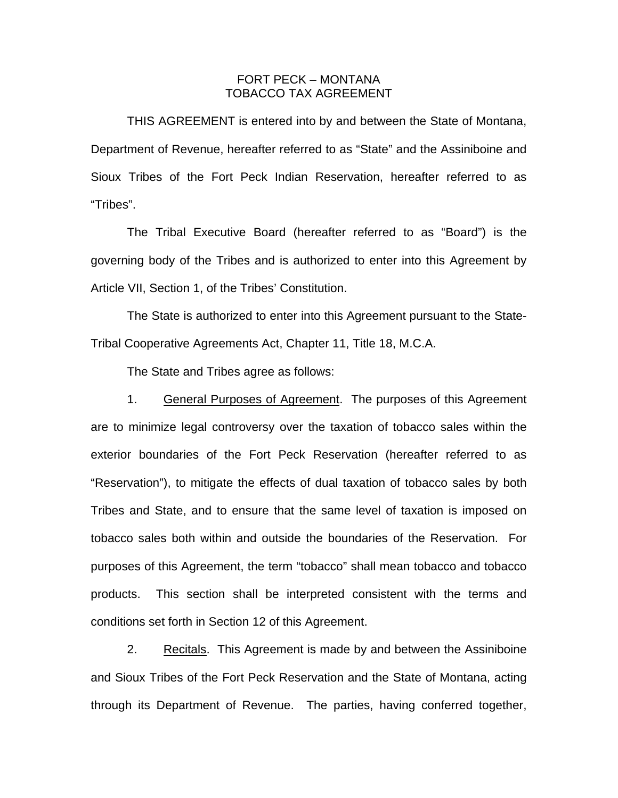## FORT PECK – MONTANA TOBACCO TAX AGREEMENT

 THIS AGREEMENT is entered into by and between the State of Montana, Department of Revenue, hereafter referred to as "State" and the Assiniboine and Sioux Tribes of the Fort Peck Indian Reservation, hereafter referred to as "Tribes".

 The Tribal Executive Board (hereafter referred to as "Board") is the governing body of the Tribes and is authorized to enter into this Agreement by Article VII, Section 1, of the Tribes' Constitution.

 The State is authorized to enter into this Agreement pursuant to the State-Tribal Cooperative Agreements Act, Chapter 11, Title 18, M.C.A.

The State and Tribes agree as follows:

1. General Purposes of Agreement. The purposes of this Agreement are to minimize legal controversy over the taxation of tobacco sales within the exterior boundaries of the Fort Peck Reservation (hereafter referred to as "Reservation"), to mitigate the effects of dual taxation of tobacco sales by both Tribes and State, and to ensure that the same level of taxation is imposed on tobacco sales both within and outside the boundaries of the Reservation. For purposes of this Agreement, the term "tobacco" shall mean tobacco and tobacco products. This section shall be interpreted consistent with the terms and conditions set forth in Section 12 of this Agreement.

2. Recitals. This Agreement is made by and between the Assiniboine and Sioux Tribes of the Fort Peck Reservation and the State of Montana, acting through its Department of Revenue. The parties, having conferred together,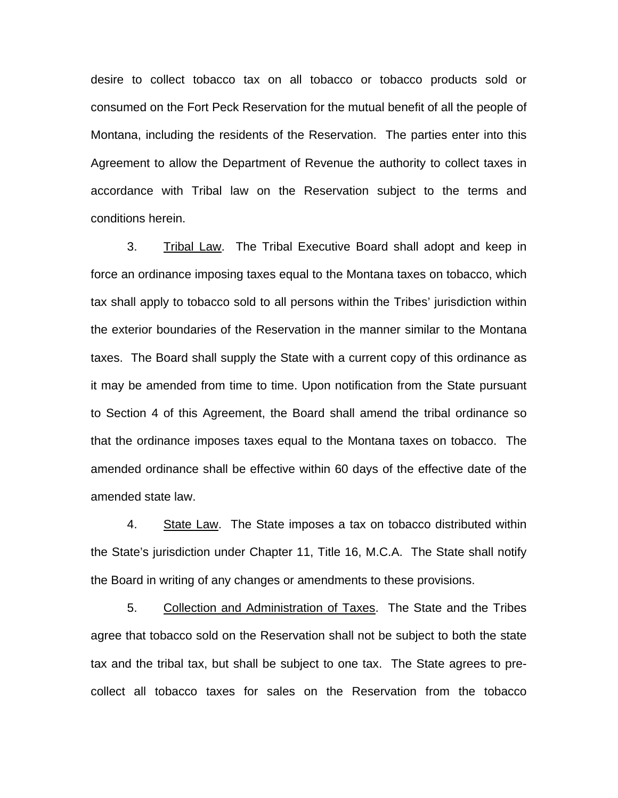desire to collect tobacco tax on all tobacco or tobacco products sold or consumed on the Fort Peck Reservation for the mutual benefit of all the people of Montana, including the residents of the Reservation. The parties enter into this Agreement to allow the Department of Revenue the authority to collect taxes in accordance with Tribal law on the Reservation subject to the terms and conditions herein.

 3. Tribal Law. The Tribal Executive Board shall adopt and keep in force an ordinance imposing taxes equal to the Montana taxes on tobacco, which tax shall apply to tobacco sold to all persons within the Tribes' jurisdiction within the exterior boundaries of the Reservation in the manner similar to the Montana taxes. The Board shall supply the State with a current copy of this ordinance as it may be amended from time to time. Upon notification from the State pursuant to Section 4 of this Agreement, the Board shall amend the tribal ordinance so that the ordinance imposes taxes equal to the Montana taxes on tobacco. The amended ordinance shall be effective within 60 days of the effective date of the amended state law.

 4. State Law. The State imposes a tax on tobacco distributed within the State's jurisdiction under Chapter 11, Title 16, M.C.A. The State shall notify the Board in writing of any changes or amendments to these provisions.

 5. Collection and Administration of Taxes. The State and the Tribes agree that tobacco sold on the Reservation shall not be subject to both the state tax and the tribal tax, but shall be subject to one tax. The State agrees to precollect all tobacco taxes for sales on the Reservation from the tobacco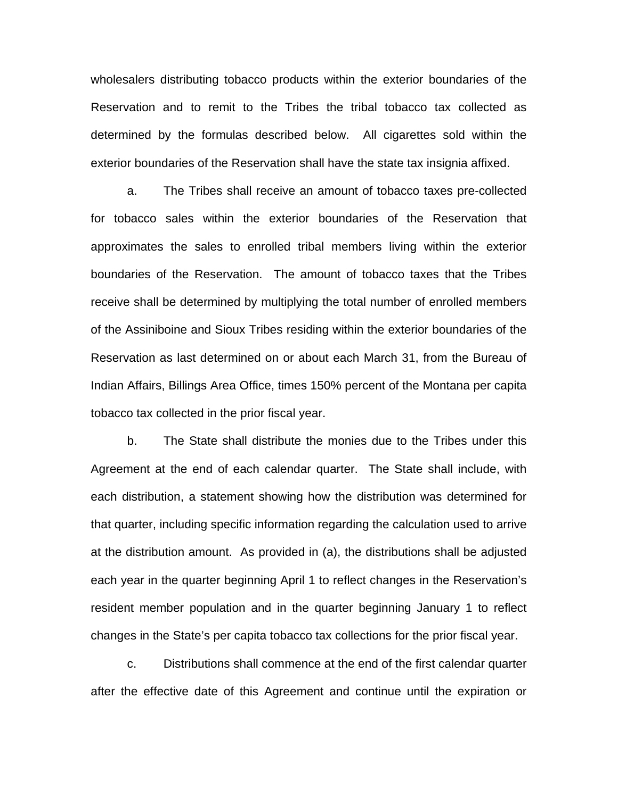wholesalers distributing tobacco products within the exterior boundaries of the Reservation and to remit to the Tribes the tribal tobacco tax collected as determined by the formulas described below. All cigarettes sold within the exterior boundaries of the Reservation shall have the state tax insignia affixed.

 a. The Tribes shall receive an amount of tobacco taxes pre-collected for tobacco sales within the exterior boundaries of the Reservation that approximates the sales to enrolled tribal members living within the exterior boundaries of the Reservation. The amount of tobacco taxes that the Tribes receive shall be determined by multiplying the total number of enrolled members of the Assiniboine and Sioux Tribes residing within the exterior boundaries of the Reservation as last determined on or about each March 31, from the Bureau of Indian Affairs, Billings Area Office, times 150% percent of the Montana per capita tobacco tax collected in the prior fiscal year.

 b. The State shall distribute the monies due to the Tribes under this Agreement at the end of each calendar quarter. The State shall include, with each distribution, a statement showing how the distribution was determined for that quarter, including specific information regarding the calculation used to arrive at the distribution amount. As provided in (a), the distributions shall be adjusted each year in the quarter beginning April 1 to reflect changes in the Reservation's resident member population and in the quarter beginning January 1 to reflect changes in the State's per capita tobacco tax collections for the prior fiscal year.

 c. Distributions shall commence at the end of the first calendar quarter after the effective date of this Agreement and continue until the expiration or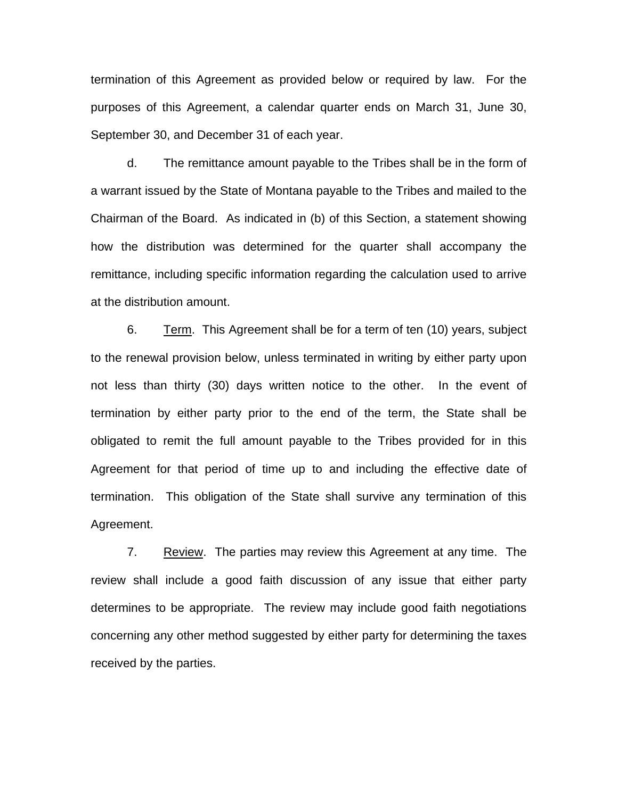termination of this Agreement as provided below or required by law. For the purposes of this Agreement, a calendar quarter ends on March 31, June 30, September 30, and December 31 of each year.

 d. The remittance amount payable to the Tribes shall be in the form of a warrant issued by the State of Montana payable to the Tribes and mailed to the Chairman of the Board. As indicated in (b) of this Section, a statement showing how the distribution was determined for the quarter shall accompany the remittance, including specific information regarding the calculation used to arrive at the distribution amount.

 6. Term. This Agreement shall be for a term of ten (10) years, subject to the renewal provision below, unless terminated in writing by either party upon not less than thirty (30) days written notice to the other. In the event of termination by either party prior to the end of the term, the State shall be obligated to remit the full amount payable to the Tribes provided for in this Agreement for that period of time up to and including the effective date of termination. This obligation of the State shall survive any termination of this Agreement.

7. Review. The parties may review this Agreement at any time. The review shall include a good faith discussion of any issue that either party determines to be appropriate. The review may include good faith negotiations concerning any other method suggested by either party for determining the taxes received by the parties.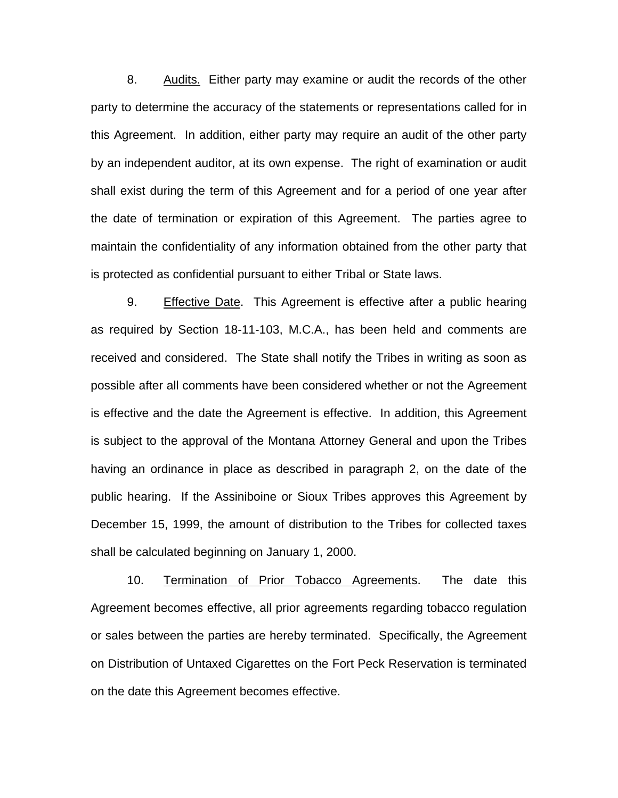8. Audits. Either party may examine or audit the records of the other party to determine the accuracy of the statements or representations called for in this Agreement. In addition, either party may require an audit of the other party by an independent auditor, at its own expense. The right of examination or audit shall exist during the term of this Agreement and for a period of one year after the date of termination or expiration of this Agreement. The parties agree to maintain the confidentiality of any information obtained from the other party that is protected as confidential pursuant to either Tribal or State laws.

9. Effective Date. This Agreement is effective after a public hearing as required by Section 18-11-103, M.C.A., has been held and comments are received and considered. The State shall notify the Tribes in writing as soon as possible after all comments have been considered whether or not the Agreement is effective and the date the Agreement is effective. In addition, this Agreement is subject to the approval of the Montana Attorney General and upon the Tribes having an ordinance in place as described in paragraph 2, on the date of the public hearing. If the Assiniboine or Sioux Tribes approves this Agreement by December 15, 1999, the amount of distribution to the Tribes for collected taxes shall be calculated beginning on January 1, 2000.

10. Termination of Prior Tobacco Agreements. The date this Agreement becomes effective, all prior agreements regarding tobacco regulation or sales between the parties are hereby terminated. Specifically, the Agreement on Distribution of Untaxed Cigarettes on the Fort Peck Reservation is terminated on the date this Agreement becomes effective.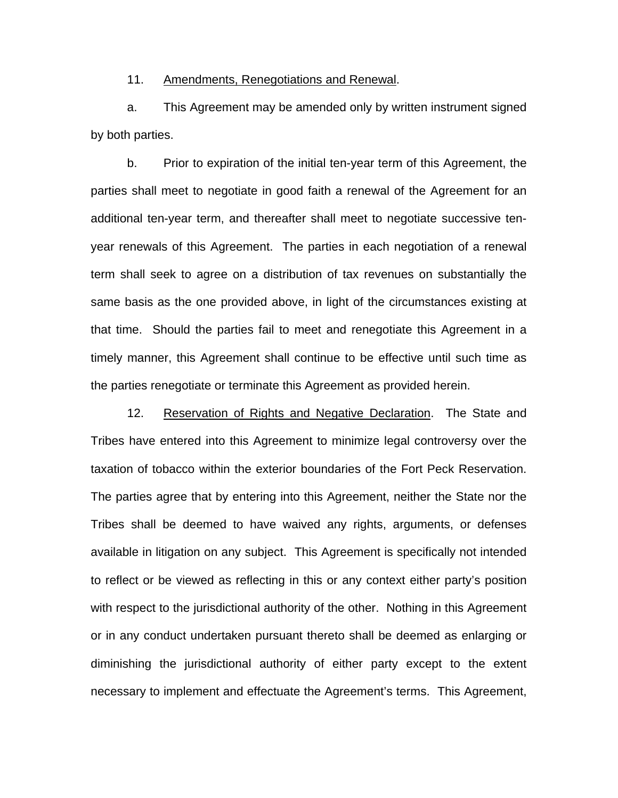## 11. Amendments, Renegotiations and Renewal.

a. This Agreement may be amended only by written instrument signed by both parties.

b. Prior to expiration of the initial ten-year term of this Agreement, the parties shall meet to negotiate in good faith a renewal of the Agreement for an additional ten-year term, and thereafter shall meet to negotiate successive tenyear renewals of this Agreement. The parties in each negotiation of a renewal term shall seek to agree on a distribution of tax revenues on substantially the same basis as the one provided above, in light of the circumstances existing at that time. Should the parties fail to meet and renegotiate this Agreement in a timely manner, this Agreement shall continue to be effective until such time as the parties renegotiate or terminate this Agreement as provided herein.

12. Reservation of Rights and Negative Declaration. The State and Tribes have entered into this Agreement to minimize legal controversy over the taxation of tobacco within the exterior boundaries of the Fort Peck Reservation. The parties agree that by entering into this Agreement, neither the State nor the Tribes shall be deemed to have waived any rights, arguments, or defenses available in litigation on any subject. This Agreement is specifically not intended to reflect or be viewed as reflecting in this or any context either party's position with respect to the jurisdictional authority of the other. Nothing in this Agreement or in any conduct undertaken pursuant thereto shall be deemed as enlarging or diminishing the jurisdictional authority of either party except to the extent necessary to implement and effectuate the Agreement's terms. This Agreement,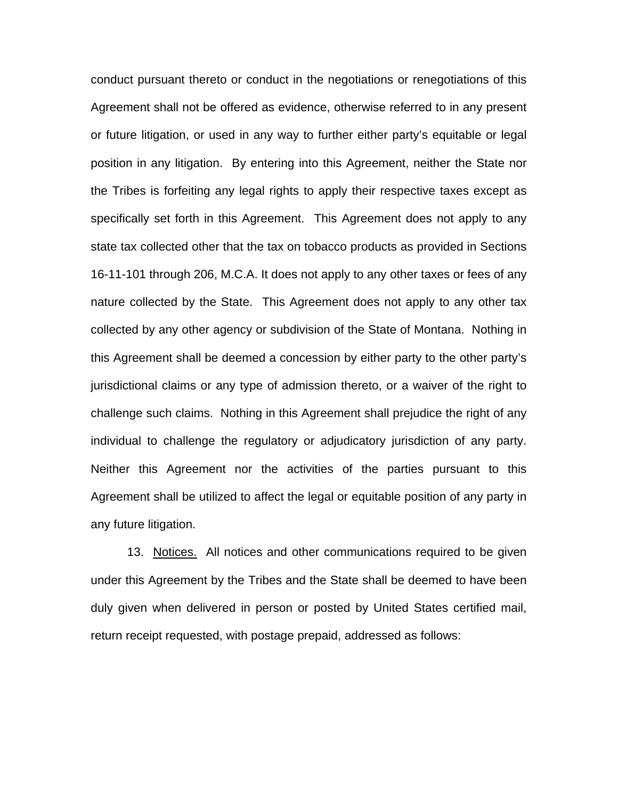conduct pursuant thereto or conduct in the negotiations or renegotiations of this Agreement shall not be offered as evidence, otherwise referred to in any present or future litigation, or used in any way to further either party's equitable or legal position in any litigation. By entering into this Agreement, neither the State nor the Tribes is forfeiting any legal rights to apply their respective taxes except as specifically set forth in this Agreement. This Agreement does not apply to any state tax collected other that the tax on tobacco products as provided in Sections 16-11-101 through 206, M.C.A. It does not apply to any other taxes or fees of any nature collected by the State. This Agreement does not apply to any other tax collected by any other agency or subdivision of the State of Montana. Nothing in this Agreement shall be deemed a concession by either party to the other party's jurisdictional claims or any type of admission thereto, or a waiver of the right to challenge such claims. Nothing in this Agreement shall prejudice the right of any individual to challenge the regulatory or adjudicatory jurisdiction of any party. Neither this Agreement nor the activities of the parties pursuant to this Agreement shall be utilized to affect the legal or equitable position of any party in any future litigation.

13. Notices. All notices and other communications required to be given under this Agreement by the Tribes and the State shall be deemed to have been duly given when delivered in person or posted by United States certified mail, return receipt requested, with postage prepaid, addressed as follows: